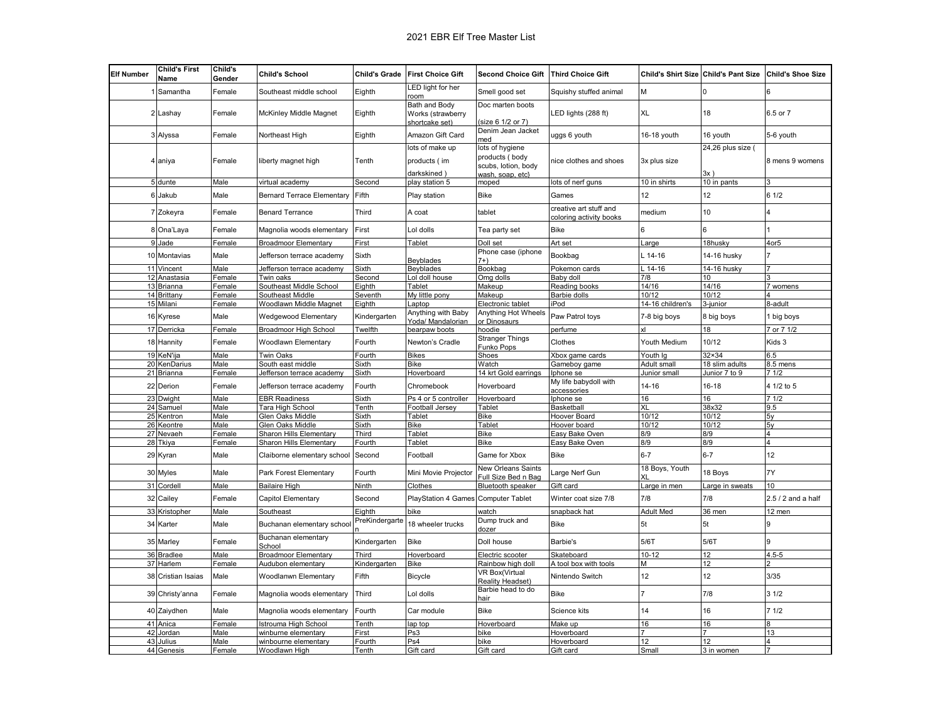| <b>Elf Number</b> | <b>Child's First</b><br>Name | Child's<br>Gender | <b>Child's School</b>             | <b>Child's Grade</b> | <b>First Choice Gift</b>                             | <b>Second Choice Gift</b>                                                    | <b>Third Choice Gift</b>                          | <b>Child's Shirt Size</b> | <b>Child's Pant Size</b> | <b>Child's Shoe Size</b> |
|-------------------|------------------------------|-------------------|-----------------------------------|----------------------|------------------------------------------------------|------------------------------------------------------------------------------|---------------------------------------------------|---------------------------|--------------------------|--------------------------|
|                   | Samantha                     | Female            | Southeast middle school           | Eighth               | LED light for her<br>room                            | Smell good set                                                               | Squishy stuffed animal                            | M                         | $\Omega$                 |                          |
| $\overline{2}$    | Lashay                       | Female            | McKinley Middle Magnet            | Eighth               | Bath and Body<br>Works (strawberry<br>shortcake set) | Doc marten boots<br>(size 6 1/2 or 7)                                        | LED lights (288 ft)                               | XL                        | 18                       | 6.5 or 7                 |
| 3                 | Alyssa                       | Female            | Northeast High                    | Eighth               | Amazon Gift Card                                     | Denim Jean Jacket<br>ned                                                     | uggs 6 youth                                      | 16-18 youth               | 16 youth                 | 5-6 youth                |
|                   | 4 aniya                      | Female            | liberty magnet high               | Tenth                | lots of make up<br>products (im<br>darkskined)       | lots of hygiene<br>products (body<br>scubs, lotion, body<br>wash, soap, etc} | nice clothes and shoes                            | 3x plus size              | 24,26 plus size (        | 8 mens 9 womens          |
|                   | 5 dunte                      | Male              | virtual academy                   | Second               | play station 5                                       | moped                                                                        | lots of nerf guns                                 | 10 in shirts              | 10 in pants              |                          |
| 6                 | Jakub                        | Male              | <b>Bernard Terrace Elementary</b> | Fifth                | Play station                                         | <b>Bike</b>                                                                  | Games                                             | 12                        | 12                       | 61/2                     |
|                   | 7 Zokeyra                    | Female            | <b>Benard Terrance</b>            | Third                | A coat                                               | tablet                                                                       | creative art stuff and<br>coloring activity books | medium                    | 10                       | 4                        |
|                   | 8 Ona'Laya                   | Female            | Magnolia woods elementary         | First                | Lol dolls                                            | Tea party set                                                                | Bike                                              | 6                         | 6                        |                          |
|                   | 9 Jade                       | Female            | Broadmoor Elementary              | First                | Tablet                                               | Doll set                                                                     | Art set                                           | Large                     | 18husky                  | 4or5                     |
|                   | 10 Montavias                 | Male              | Jefferson terrace academy         | Sixth                | <b>Bevblades</b>                                     | Phone case (iphone<br>$7+)$                                                  | Bookbag                                           | $L$ 14-16                 | 14-16 husky              |                          |
|                   | 11 Vincent                   | Male              | Jefferson terrace academy         | Sixth                | Beyblades                                            | Bookbag                                                                      | Pokemon cards                                     | $.14 - 16$                | 14-16 husky              |                          |
|                   | 12 Anastasia                 | Female            | Twin oaks                         | Second               | Lol doll house                                       | Omg dolls                                                                    | Baby doll                                         | 7/8                       | 10                       |                          |
|                   | 13 Brianna                   | Female            | Southeast Middle School           | Eighth               | Tablet                                               | Makeup                                                                       | Reading books                                     | 14/16                     | 14/16                    | 7 womens                 |
|                   | 14 Brittany                  | Female            | Southeast Middle                  | Seventh              | My little pony                                       | Makeup                                                                       | Barbie dolls                                      | 10/12                     | 10/12                    |                          |
|                   | 15 Milani                    | Female            | Woodlawn Middle Magnet            | Eighth               | Laptop                                               | Electronic tablet                                                            | iPod                                              | 14-16 children's          | 3-junior                 | 8-adult                  |
|                   | 16 Kyrese                    | Male              | Wedgewood Elementary              | Kindergarten         | Anything with Baby<br>Yoda/ Mandalorian              | Anything Hot Wheels<br>or Dinosaurs                                          | Paw Patrol toys                                   | 7-8 big boys              | 8 big boys               | 1 big boys               |
|                   | 17 Derricka                  | Female            | <b>Broadmoor High School</b>      | Twelfth              | bearpaw boots                                        | hoodie                                                                       | perfume                                           |                           | 18                       | 7 or 7 1/2               |
|                   | 18 Hannity                   | Female            | Woodlawn Elementary               | Fourth               | Newton's Cradle                                      | <b>Stranger Things</b><br>Funko Pops                                         | Clothes                                           | Youth Medium              | 10/12                    | Kids 3                   |
|                   | 19 KeN'ija                   | Male              | <b>Twin Oaks</b>                  | Fourth               | <b>Bikes</b>                                         | Shoes                                                                        | Xbox game cards                                   | Youth la                  | $32 \times 34$           | 6.5                      |
|                   | 20 KenDarius                 | Male              | South east middle                 | Sixth                | <b>Bike</b>                                          | Watch                                                                        | Gameboy game                                      | Adult small               | 18 slim adults           | 8.5 mens                 |
|                   | 21 Brianna                   | Female            | Jefferson terrace academy         | Sixth                | Hoverboard                                           | 14 krt Gold earrings                                                         | Iphone se                                         | Junior small              | Junior 7 to 9            | 71/2                     |
|                   | 22 Derion                    | Female            | Jefferson terrace academy         | Fourth               | Chromebook                                           | Hoverboard                                                                   | My life babydoll with<br>accessories              | $14 - 16$                 | $16-18$                  | 4 1/2 to 5               |
|                   | 23 Dwight                    | Male              | <b>EBR Readiness</b>              | Sixth                | Ps 4 or 5 controller                                 | Hoverboard                                                                   | Iphone se                                         | 16                        | 16                       | 71/2                     |
|                   | 24 Samuel                    | Male              | Tara High School                  | Tenth                | Football Jersey                                      | Tablet                                                                       | Basketball                                        | XL                        | 38x32                    | 9.5                      |
|                   | 25 Kentron                   | Male              | Glen Oaks Middle                  | Sixth                | Tablet                                               | <b>Bike</b>                                                                  | Hoover Board                                      | 10/12                     | 10/12                    | 5v                       |
|                   | 26 Keontre                   | Male              | Glen Oaks Middle                  | Sixth                | <b>Bike</b>                                          | Tablet                                                                       | Hoover board                                      | 10/12                     | 10/12                    | 5y                       |
|                   | 27 Nevaeh                    | Female            | Sharon Hills Elementary           | Third                | Tablet                                               | Bike                                                                         | Easy Bake Oven                                    | 8/9                       | 8/9                      | 4                        |
|                   | 28 Tkiya                     | Female            | Sharon Hills Elementary           | Fourth               | Tablet                                               | <b>Bike</b>                                                                  | Easy Bake Oven                                    | 8/9                       | 8/9                      | 4                        |
| 29                | Kyran                        | Male              | Claiborne elementary school       | Second               | Football                                             | Game for Xbox                                                                | <b>Bike</b>                                       | $6 - 7$                   | $6 - 7$                  | 12                       |
|                   | 30 Myles                     | Male              | Park Forest Elementary            | Fourth               | Mini Movie Projector                                 | New Orleans Saints<br>Full Size Bed n Bag                                    | Large Nerf Gun                                    | 18 Boys, Youth            | 18 Boys                  | 7Y                       |
| 31                | Cordell                      | Male              | <b>Bailaire High</b>              | Ninth                | Clothes                                              | Bluetooth speaker                                                            | Gift card                                         | Large in men              | arge in sweats           | 10                       |
|                   | 32 Cailey                    | Female            | Capitol Elementary                | Second               | <b>PlayStation 4 Games</b>                           | <b>Computer Tablet</b>                                                       | Winter coat size 7/8                              | 7/8                       | 7/8                      | $2.5/2$ and a half       |
|                   | 33 Kristopher                | Male              | Southeast                         | Eighth               | bike                                                 | watch                                                                        | snapback hat                                      | <b>Adult Med</b>          | 36 men                   | 12 men                   |
| 34                | Karter                       | Male              | Buchanan elementary school        | PreKindergarte       | 18 wheeler trucks                                    | Dump truck and<br>dozer                                                      | <b>Bike</b>                                       | 5t                        | 5t                       | $\mathbf{Q}$             |
|                   | 35 Marley                    | Female            | Buchanan elementary<br>School     | Kindergarten         | <b>Bike</b>                                          | Doll house                                                                   | Barbie's                                          | 5/6T                      | 5/6T                     | g                        |
|                   | 36 Bradlee                   | Male              | <b>Broadmoor Elementary</b>       | Third                | Hoverboard                                           | Electric scooter                                                             | Skateboard                                        | $10 - 12$                 | 12                       | $4.5 - 5$                |
|                   | 37 Harlem                    | Female            | Audubon elementary                | Kindergarten         | <b>Bike</b>                                          | Rainbow high doll                                                            | A tool box with tools                             | M                         | 12                       | 2                        |
|                   | 38 Cristian Isaias           | Male              | Woodlanwn Elementary              | Fifth                | <b>Bicycle</b>                                       | <b>VR Box(Virtual</b><br>Reality Headset)                                    | Nintendo Switch                                   | 12                        | 12                       | 3/35                     |
|                   | 39 Christy'anna              | Female            | Magnolia woods elementary         | Third                | Lol dolls                                            | Barbie head to do<br>hair                                                    | <b>Bike</b>                                       |                           | 7/8                      | 31/2                     |
|                   | 40 Zaiydhen                  | Male              | Magnolia woods elementary         | Fourth               | Car module                                           | <b>Bike</b>                                                                  | Science kits                                      | 14                        | 16                       | 7 1/2                    |
| 41                | Anica                        | Female            | Istrouma High School              | Tenth                | lap top                                              | Hoverboard                                                                   | Make up                                           | 16                        | 16                       |                          |
| 42                | Jordan                       | Male              | winburne elementary               | First                | Ps3                                                  | bike                                                                         | Hoverboard                                        |                           |                          | 13                       |
| 43                | Julius                       | Male              | winbourne elementary              | Fourth               | Ps4                                                  | bike                                                                         | Hoverboard                                        | 12                        | 12                       | 4                        |
|                   | 44 Genesis                   | Female            | Woodlawn High                     | Tenth                | Gift card                                            | Gift card                                                                    | Gift card                                         | Smal                      | 3 in women               | $\overline{7}$           |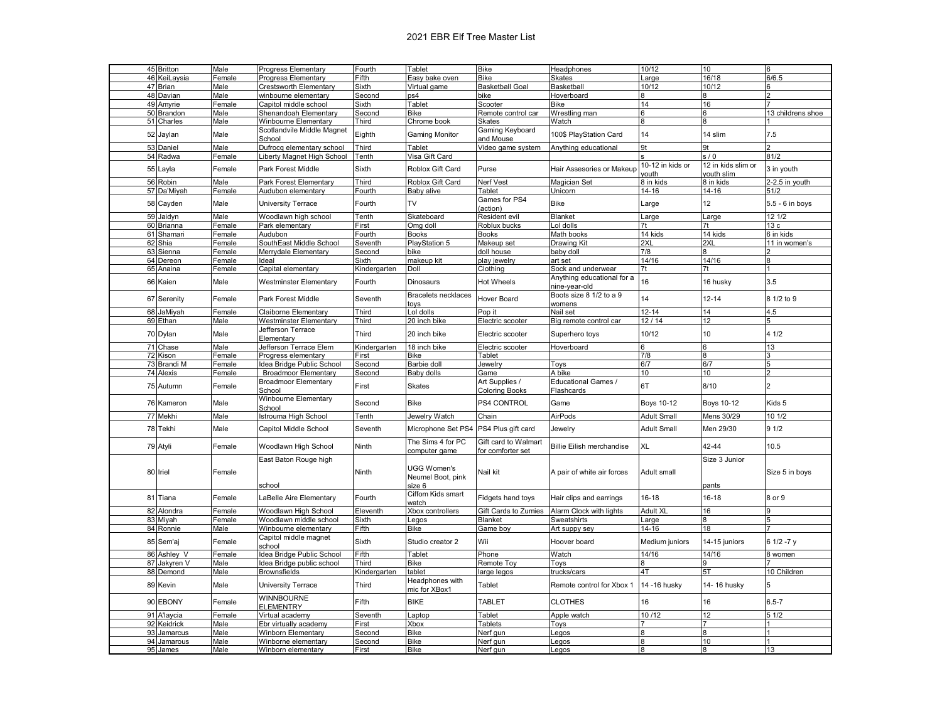## 2021 EBR Elf Tree Master List

|    | 45 Britton   | Male   | Progress Elementary                  | Fourth       | Tablet                             | <b>Bike</b>                               | Headphones                                  | 10/12              | 10 <sup>10</sup>   | 6                 |
|----|--------------|--------|--------------------------------------|--------------|------------------------------------|-------------------------------------------|---------------------------------------------|--------------------|--------------------|-------------------|
|    | 46 KeiLaysia | Female | <b>Progress Elementary</b>           | Fifth        | Easy bake oven                     | <b>Bike</b>                               | <b>Skates</b>                               | Large              | 16/18              | 6/6.5             |
|    | 47 Brian     | Male   | <b>Crestsworth Elementary</b>        | Sixth        | Virtual game                       | <b>Basketball Goal</b>                    | Basketball                                  | 10/12              | 10/12              |                   |
|    | 48 Davian    | Male   | winbourne elementary                 | Second       | ps4                                | bike                                      | Hoverboard                                  |                    | 8                  |                   |
|    |              |        |                                      |              | Tablet                             |                                           |                                             | 14                 | 16                 |                   |
|    | 49 Amyrie    | Female | Capitol middle school                | Sixth        |                                    | Scooter                                   | Bike                                        |                    |                    |                   |
|    | 50 Brandon   | Male   | Shenandoah Elementary                | Second       | <b>Bike</b>                        | Remote control car                        | Wrestling man                               | 6                  | 6                  | 13 childrens shoe |
|    | 51 Charles   | Male   | Winbourne Elementary                 | Third        | Chrome book                        | Skates                                    | Watch                                       | 8                  | 8                  |                   |
|    | 52 Jaylan    | Male   | Scotlandvile Middle Magnet<br>School | Eighth       | <b>Gaming Monitor</b>              | Gaming Keyboard<br>and Mouse              | 100\$ PlayStation Card                      | 14                 | 14 slim            | 7.5               |
|    | 53 Daniel    | Male   | Dufrocq elementary school            | Third        | Tablet                             | Video game system                         | Anything educational                        | 9t                 | 9t                 |                   |
|    | 54 Radwa     | Female | Liberty Magnet High School           | Tenth        | Visa Gift Card                     |                                           |                                             |                    | s/0                | 81/2              |
|    |              |        |                                      |              |                                    |                                           |                                             | 10-12 in kids or   | 12 in kids slim or |                   |
|    | 55 Layla     | Female | Park Forest Middle                   | Sixth        | Roblox Gift Card                   | Purse                                     | Hair Assesories or Makeup                   | outh/              | outh slim          | 3 in youth        |
|    | 56 Robin     | Male   | Park Forest Elementary               | Third        | Roblox Gift Card                   | <b>Nerf Vest</b>                          | Magician Set                                | 8 in kids          | 8 in kids          | 2-2.5 in youth    |
|    | 57 Da'Miyah  | Female | Audubon elementary                   | Fourth       | Baby alive                         | Tablet                                    | Unicorn                                     | $14 - 16$          | $14 - 16$          | 51/2              |
|    |              |        |                                      |              |                                    | Games for PS4                             |                                             |                    |                    |                   |
|    | 58 Cayden    | Male   | University Terrace                   | Fourth       | <b>TV</b>                          | action)                                   | Bike                                        | Large              | 12                 | 5.5 - 6 in boys   |
|    | 59 Jaidyn    | Male   | Woodlawn high school                 | Tenth        | Skateboard                         | Resident evil                             | Blanket                                     | Large              | Large              | 121/2             |
|    | 60 Brianna   | Female | Park elementary                      | First        | Omg doll                           | Roblux bucks                              | Lol dolls                                   | $\overline{7t}$    | 7t                 | 13c               |
|    | 61 Shamari   | Female | Audubon                              | Fourth       | <b>Books</b>                       | <b>Books</b>                              | Math books                                  | 14 kids            | 14 kids            | 6 in kids         |
|    | 62 Shia      | Female | SouthEast Middle School              | Seventh      | PlayStation 5                      | Makeup set                                | Drawing Kit                                 | 2XL                | 2XL                | 11 in women's     |
|    |              |        |                                      |              |                                    |                                           |                                             |                    | R                  |                   |
|    | 63 Sienna    | Female | Merrydale Elementary                 | Second       | bike                               | doll house                                | baby doll                                   | 7/8                |                    |                   |
|    | 64 Dereon    | Female | Ideal                                | Sixth        | makeup kit                         | play jewelry                              | art set                                     | 14/16              | 14/16              |                   |
|    | 65 Anaina    | Female | Capital elementary                   | Kindergarten | Doll                               | Clothing                                  | Sock and underwear                          | 7t                 | 7t                 |                   |
|    | 66 Kaien     | Male   | <b>Westminster Elementary</b>        | Fourth       | <b>Dinosaurs</b>                   | <b>Hot Wheels</b>                         | Anything educational for a<br>nine-year-old | 16                 | 16 husky           | 3.5               |
|    | 67 Serenity  | Female | Park Forest Middle                   | Seventh      | <b>Bracelets necklaces</b><br>tovs | <b>Hover Board</b>                        | Boots size 8 1/2 to a 9<br>womens           | 14                 | $12 - 14$          | 8 1/2 to 9        |
| 68 |              |        |                                      | Third        |                                    |                                           | Nail set                                    | $12 - 14$          | 14                 | 4.5               |
|    | JaMiyah      | Female | Claiborne Elementary                 |              | Lol dolls                          | Pop it                                    |                                             |                    |                    | 5                 |
|    | 69 Ethan     | Male   | <b>Westminster Elementary</b>        | Third        | 20 inch bike                       | Electric scooter                          | Big remote control car                      | 12/14              | 12                 |                   |
|    | 70 Dylan     | Male   | Jefferson Terrace<br>Elementary      | Third        | 20 inch bike                       | Electric scooter                          | Superhero toys                              | 10/12              | 10                 | 41/2              |
|    | 71 Chase     | Male   | Jefferson Terrace Elem               | Kindergarten | 18 inch bike                       | Electric scooter                          | Hoverboard                                  | 6                  | 6                  | 13                |
|    | 72 Kison     | Female | Progress elementary                  | First        | <b>Bike</b>                        | Tablet                                    |                                             | 7/8                | R                  |                   |
|    | 73 Brandi M  | Female | Idea Bridge Public School            | Second       | Barbie doll                        | Jewelry                                   | Toys                                        | 6/7                | 6/7                | 5                 |
|    | 74 Alexis    | Female | <b>Broadmoor Elementary</b>          | Second       | Baby dolls                         | Game                                      | A bike                                      | 10                 | 10 <sup>10</sup>   |                   |
|    |              |        | <b>Broadmoor Elementary</b>          |              |                                    | Art Supplies /                            | <b>Educational Games /</b>                  |                    |                    |                   |
|    | 75 Autumn    | Female | School                               | First        | <b>Skates</b>                      | Colorina Books                            | Flashcards                                  | 6T                 | 8/10               |                   |
|    | 76 Kameron   | Male   | Winbourne Elementary<br>School       | Second       | <b>Bike</b>                        | PS4 CONTROL                               | Game                                        | Boys 10-12         | Boys 10-12         | Kids 5            |
|    | 77 Mekhi     | Male   | Istrouma High School                 | Tenth        | Jewelry Watch                      | Chain                                     | AirPods                                     | <b>Adult Small</b> | Mens 30/29         | 10 1/2            |
|    |              |        |                                      |              |                                    |                                           |                                             |                    |                    |                   |
|    | 78 Tekhi     | Male   | Capitol Middle School                | Seventh      | Microphone Set PS4                 | PS4 Plus gift card                        | Jewelry                                     | <b>Adult Small</b> | Men 29/30          | 91/2              |
|    | 79 Atyli     | Female | Woodlawn High School                 | Ninth        | The Sims 4 for PC<br>computer game | Gift card to Walmart<br>for comforter set | <b>Billie Eilish merchandise</b>            | XL                 | 42-44              | 10.5              |
|    |              |        | East Baton Rouge high                |              |                                    |                                           |                                             |                    | Size 3 Junior      |                   |
|    |              |        |                                      | Ninth        | UGG Women's                        |                                           |                                             | Adult small        |                    |                   |
|    | 80 Iriel     | Female |                                      |              | Neumel Boot, pink                  | Nail kit                                  | A pair of white air forces                  |                    |                    | Size 5 in boys    |
|    |              |        | school                               |              | size 6                             |                                           |                                             |                    | pants              |                   |
|    |              |        |                                      |              | Ciffom Kids smart                  |                                           |                                             |                    |                    |                   |
|    | 81 Tiana     | Female | LaBelle Aire Elementary              | Fourth       | watch                              | Fidgets hand toys                         | Hair clips and earrings                     | 16-18              | $16 - 18$          | 8 or 9            |
|    | 82 Alondra   | Female | Woodlawn High School                 | Eleventh     | Xbox controllers                   | Gift Cards to Zumies                      | Alarm Clock with lights                     | <b>Adult XL</b>    | 16                 |                   |
|    | 83 Miyah     | Female | Woodlawn middle school               | Sixth        | Legos                              | Blanket                                   | Sweatshirts                                 | Large              | 8                  |                   |
|    | 84 Ronnie    | Male   | Winbourne elementary                 | Fifth        | <b>Bike</b>                        | Game boy                                  | Art suppy sev                               | $14 - 16$          | 18                 |                   |
|    |              |        | Capitol middle magnet                |              |                                    |                                           |                                             |                    |                    |                   |
|    | 85 Sem'aj    | Female | school                               | Sixth        | Studio creator 2                   | Wii                                       | Hoover board                                | Medium juniors     | 14-15 juniors      | 6 1/2 -7 y        |
|    | 86 Ashley V  | Female | Idea Bridge Public School            | Fifth        | Tablet                             | Phone                                     | Watch                                       | 14/16              | 14/16              | 8 women           |
|    | 87 Jakyren V | Male   | Idea Bridge public school            | Third        | <b>Bike</b>                        | Remote Toy                                | Toys                                        |                    | g                  |                   |
|    | 88 Demond    | Male   | <b>Brownsfields</b>                  | Kindergarten | tablet                             | large legos                               | trucks/cars                                 | 4T                 | 5Τ                 | 10 Children       |
|    | 89 Kevin     | Male   | University Terrace                   | Third        | Headphones with                    | Tablet                                    | Remote control for Xbox 1                   | 14 - 16 husky      | 14-16 husky        | 5                 |
|    |              |        | <b>WINNBOURNE</b>                    |              | mic for XBox1                      |                                           |                                             |                    |                    |                   |
|    | 90 EBONY     | Female | <b>ELEMENTRY</b>                     | Fifth        | <b>BIKE</b>                        | <b>TABLET</b>                             | <b>CLOTHES</b>                              | 16                 | 16                 | $6.5 - 7$         |
|    | 91 A'laycia  | Female | Virtual academy                      | Seventh      | Laptop                             | Tablet                                    | Apple watch                                 | 10/12              | 12                 | 51/2              |
|    | 92 Keidrick  | Male   | Ebr virtually academy                | First        | Xbox                               | Tablets                                   | Toys                                        |                    | $\overline{7}$     |                   |
| 93 | Jamarcus     | Male   | Winborn Elementary                   | Second       | <b>Bike</b>                        | Nerf gun                                  | Legos                                       |                    | $\mathsf{R}$       |                   |
|    | 94 Jamarous  | Male   | Winborne elementary                  | Second       | <b>Bike</b>                        | Nerf gun                                  | Legos                                       | 8                  | 10                 |                   |
|    | 95 James     | Male   | Winborn elementary                   | First        | <b>Bike</b>                        | Nerf gun                                  | Legos                                       | 8                  | 8                  | 13                |
|    |              |        |                                      |              |                                    |                                           |                                             |                    |                    |                   |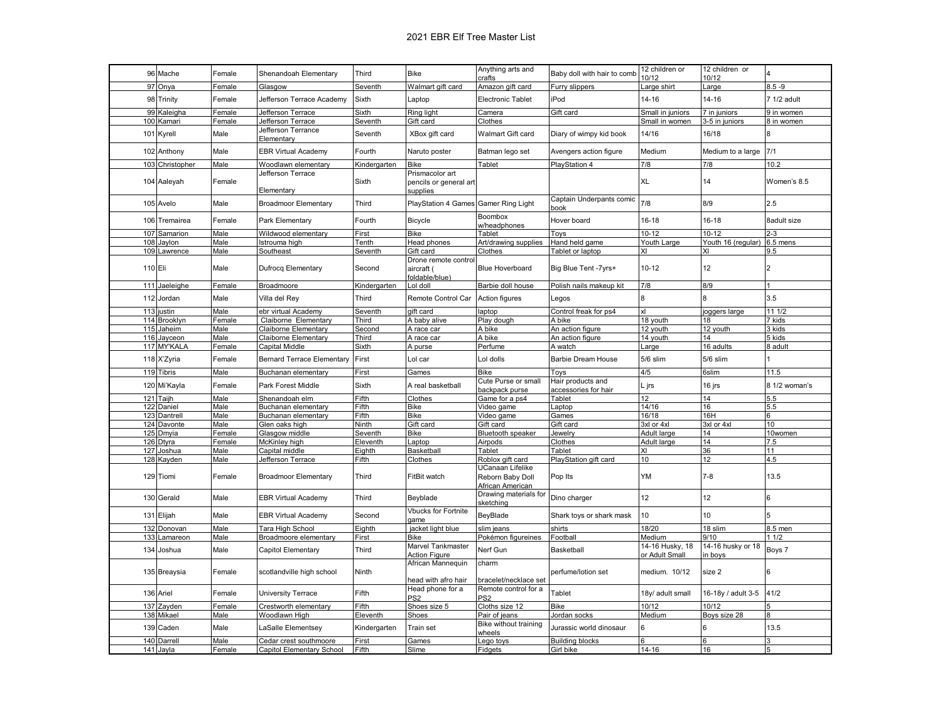|         | 96 Mache        |        |                                   | Third        | <b>Bike</b>                                          | Anything arts and                                               | Baby doll with hair to comb               | 12 children or                    | 12 children or              | 4              |
|---------|-----------------|--------|-----------------------------------|--------------|------------------------------------------------------|-----------------------------------------------------------------|-------------------------------------------|-----------------------------------|-----------------------------|----------------|
|         |                 | Female | Shenandoah Elementary             |              |                                                      | crafts                                                          |                                           | 10/12                             | 10/12                       |                |
|         | 97 Onya         | Female | Glasgow                           | Seventh      | Walmart gift card                                    | Amazon gift card                                                | Furry slippers                            | Large shirt                       | Large                       | $8.5 - 9$      |
|         | 98 Trinity      | Female | Jefferson Terrace Academy         | Sixth        | Laptop                                               | <b>Electronic Tablet</b>                                        | iPod                                      | $14 - 16$                         | 14-16                       | 7 1/2 adult    |
|         | 99 Kaleigha     | Female | Jefferson Terrace                 | Sixth        | <b>Ring light</b>                                    | Camera                                                          | Gift card                                 | Small in juniors                  | 7 in juniors                | 9 in women     |
|         | 100 Kamari      | Female | Jefferson Terrace                 | Seventh      | Gift card                                            | Clothes                                                         |                                           | Small in women                    | 3-5 in juniors              | 8 in women     |
| 101     | Kyrell          | Male   | Jefferson Terrance<br>Elementary  | Seventh      | XBox gift card                                       | Walmart Gift card                                               | Diary of wimpy kid book                   | 14/16                             | 16/18                       |                |
|         | 102 Anthony     | Male   | <b>EBR Virtual Academy</b>        | Fourth       | Naruto poster                                        | Batman lego set                                                 | Avengers action figure                    | Medium                            | Medium to a large           | 7/1            |
|         | 103 Christopher | Male   | Woodlawn elementary               | Kindergarten | <b>Bike</b>                                          | <b>Tablet</b>                                                   | PlayStation 4                             | 7/8                               | 7/8                         | 10.2           |
|         |                 |        | Jefferson Terrace                 |              | Prismacolor art                                      |                                                                 |                                           |                                   |                             |                |
|         | 104 Aaleyah     | Female | Elementary                        | Sixth        | pencils or general art<br>supplies                   |                                                                 |                                           | XL                                | 14                          | Women's 8.5    |
|         | 105 Avelo       | Male   | <b>Broadmoor Elementary</b>       | Third        | PlayStation 4 Games Gamer Ring Light                 |                                                                 | Captain Underpants comic<br>book          | 7/8                               | 8/9                         | 2.5            |
|         | 106 Tremairea   | Female | Park Elementary                   | Fourth       | Bicycle                                              | Boombox<br>w/headphones                                         | Hover board                               | $16 - 18$                         | $16 - 18$                   | 8adult size    |
|         | 107 Samarion    | Male   | Wildwood elementary               | First        | <b>Bike</b>                                          | Tablet                                                          | Toys                                      | $10-12$                           | $10 - 12$                   | $2 - 3$        |
|         | 108 Jaylon      | Male   | Istrouma high                     | Tenth        | Head phones                                          | Art/drawing supplies                                            | Hand held game                            | Youth Large                       | Youth 16 (regular)          | 6.5 mens       |
|         | 109 Lawrence    | Male   | Southeast                         | Seventh      | Gift card                                            | Clothes                                                         | Tablet or laptop                          | ΧI                                | XI                          | 9.5            |
| 110 Eli |                 | Male   | <b>Dufrocq Elementary</b>         | Second       | Drone remote control<br>aircraft (<br>foldable/blue) | <b>Blue Hoverboard</b>                                          | Big Blue Tent -7yrs+                      | $10 - 12$                         | 12                          | $\overline{a}$ |
|         | 111 Jaeleighe   | Female | Broadmoore                        | Kindergarten | Lol doll                                             | Barbie doll house                                               | Polish nails makeup kit                   | 7/8                               | 8/9                         | $\overline{1}$ |
|         | 112 Jordan      | Male   | Villa del Rey                     | Third        | Remote Control Car                                   | Action figures                                                  | Legos                                     | 8                                 | 8                           | 3.5            |
|         | 113 justin      | Male   | ebr virtual Academy               | Seventh      | gift card                                            | laptop                                                          | Control freak for ps4                     | xI                                | oggers large                | 111/2          |
|         | 114 Brooklyn    | Female | Claiborne Elementary              | Third        | A baby alive                                         | Play dough                                                      | A bike                                    | 18 youth                          | 18                          | 7 kids         |
|         | 115 Jaheim      | Male   | Claiborne Elementary              | Second       | A race car                                           | A bike                                                          | An action figure                          | 12 youth                          | 12 youth                    | 3 kids         |
|         | 116 Jayceon     | Male   | Claiborne Elementary              | Third        | A race car                                           | A bike                                                          | An action figure                          | 14 vouth                          | 14                          | 5 kids         |
|         | 117 MY'KALA     | Female | Capital Middle                    | Sixth        | A purse                                              | Perfume                                                         | A watch                                   | Large                             | 16 adults                   | 8 adult        |
|         | 118 X'Zyria     | Female | <b>Bernard Terrace Elementary</b> | First        | Lol car                                              | Lol dolls                                                       | <b>Barbie Dream House</b>                 | 5/6 slim                          | 5/6 slim                    |                |
|         | 119 Tibris      | Male   | Buchanan elementary               | First        | Games                                                | <b>Bike</b>                                                     | Toys                                      | 4/5                               | 6slim                       | 11.5           |
|         | 120 Mi'Kayla    | Female | Park Forest Middle                | Sixth        | A real basketball                                    | Cute Purse or small<br>backpack purse                           | Hair products and<br>accessories for hair | L jrs                             | 16 jrs                      | 8 1/2 woman's  |
|         | 121 Taijh       | Male   | Shenandoah elm                    | Fifth        | Clothes                                              | Game for a ps4                                                  | Tablet                                    | 12                                | $\overline{14}$             | 5.5            |
|         | 122 Daniel      | Male   | Buchanan elementary               | Fifth        | <b>Bike</b>                                          | Video game                                                      | Laptop                                    | 14/16                             | 16                          | 5.5            |
|         | 123 Dantrell    | Male   | Buchanan elementary               | Fifth        | <b>Bike</b>                                          | Video game                                                      | Games                                     | 16/18                             | 16H                         | 6              |
|         | 124 Davonte     | Male   | Glen oaks high                    | Ninth        | Gift card                                            | Gift card                                                       | Gift card                                 | $\overline{3x}$ or $4xI$          | 3xl or 4xl                  | 10             |
|         | 125 Dmyia       | Female | Glasgow middle                    | Seventh      | <b>Bike</b>                                          | Bluetooth speaker                                               | Jewelry                                   | Adult large                       | 14                          | 10women        |
|         | 126 Dtyra       | Female | McKinley high                     | Eleventh     | Laptop                                               | Airpods                                                         | Clothes                                   | Adult large                       | 14                          | 7.5            |
|         | 127 Joshua      | Male   | Capital middle                    | Eighth       | Basketball                                           | Tablet                                                          | Tablet                                    | XI                                | 36                          | 11             |
|         | 128 Kayden      | Male   | Jefferson Terrace                 | Fifth        | Clothes                                              | Roblox gift card                                                | PlayStation gift card                     | 10                                | 12                          | 4.5            |
|         | 129 Tiomi       | Female | <b>Broadmoor Elementary</b>       | Third        | FitBit watch                                         | <b>UCanaan Lifelike</b><br>Reborn Baby Doll<br>African American | Pop Its                                   | YM                                | $7 - 8$                     | 13.5           |
|         | 130 Gerald      | Male   | <b>EBR Virtual Academy</b>        | Third        | Beyblade                                             | Drawing materials for<br>sketching                              | Dino charger                              | 12                                | 12                          | 6              |
|         | 131 Elijah      | Male   | <b>EBR Virtual Academy</b>        | Second       | <b>Vbucks for Fortnite</b><br>qame                   | BeyBlade                                                        | Shark toys or shark mask                  | 10                                | 10                          | 5              |
|         | 132 Donovan     | Male   | Tara High School                  | Eighth       | jacket light blue                                    | slim jeans                                                      | shirts                                    | 18/20                             | 18 slim                     | $8.5$ men      |
| 133     | amareon         | Male   | Broadmoore elementary             | First        | <b>Bike</b>                                          | Pokémon figureines                                              | Football                                  | Medium                            | 9/10                        | 11/2           |
| 134     | Joshua          | Male   | Capitol Elementary                | Third        | Marvel Tankmaster<br><b>Action Figure</b>            | Nerf Gun                                                        | Basketball                                | 14-16 Husky, 18<br>or Adult Small | 14-16 husky or 18<br>n boys | Boys 7         |
|         | 135 Breaysia    | Female | scotlandville high school         | Ninth        | African Mannequin<br>head with afro hair             | charm<br>bracelet/necklace set                                  | perfume/lotion set                        | medium. 10/12                     | size 2                      | 6              |
|         | 136 Ariel       | Female | <b>University Terrace</b>         | Fifth        | Head phone for a<br>PS <sub>2</sub>                  | Remote control for a<br>PS <sub>2</sub>                         | Tablet                                    | 18y/ adult small                  | 16-18y / adult 3-5          | 41/2           |
|         | 137 Zayden      | Female | Crestworth elementary             | Fifth        | Shoes size 5                                         | Cloths size 12                                                  | Bike                                      | 10/12                             | 10/12                       |                |
|         | 138 Mikael      | Male   | Woodlawn High                     | Eleventh     | Shoes                                                | Pair of jeans                                                   | Jordan socks                              | Medium                            | Boys size 28                | 8              |
|         | 139 Caden       | Male   | LaSalle Elementsey                | Kindergarten | Train set                                            | Bike without training<br>wheels                                 | Jurassic world dinosaur                   | 6                                 | 6                           | 13.5           |
|         | 140 Darrell     | Male   | Cedar crest southmoore            | First        | Games                                                | Lego toys                                                       | <b>Building blocks</b>                    |                                   | <b>R</b>                    |                |
|         | 141 Jayla       | Female | Capitol Elementary School         | Fifth        | Slime                                                | Fidgets                                                         | Girl bike                                 | $14 - 16$                         | 16                          |                |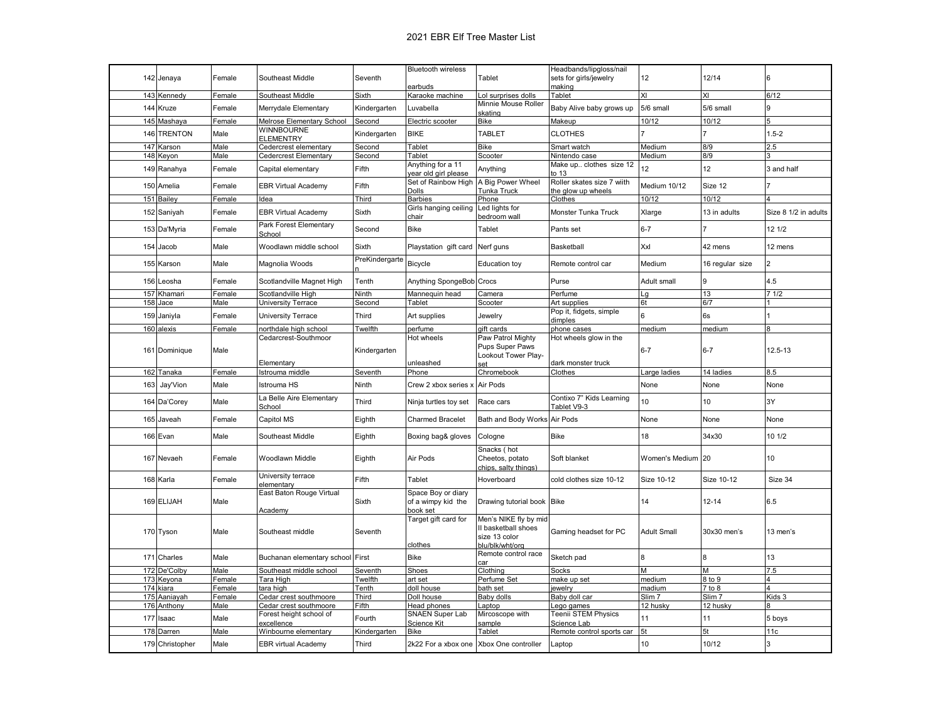|     | 142 Jenaya    | Female | Southeast Middle                      | Seventh        | <b>Bluetooth wireless</b><br>earbuds                 | Tablet                                                                           | Headbands/lipgloss/nail<br>sets for girls/jewelry<br>making | 12 <sup>2</sup>    | 12/14             | 6                    |
|-----|---------------|--------|---------------------------------------|----------------|------------------------------------------------------|----------------------------------------------------------------------------------|-------------------------------------------------------------|--------------------|-------------------|----------------------|
|     | 143 Kennedy   | Female | Southeast Middle                      | Sixth          | Karaoke machine                                      | Lol surprises dolls                                                              | Tablet                                                      | ΧI                 | ΧI                | 6/12                 |
| 144 | Kruze         | Female | Merrydale Elementary                  | Kindergarten   | Luvabella                                            | Minnie Mouse Roller<br>skating                                                   | Baby Alive baby grows up                                    | 5/6 small          | 5/6 small         | 9                    |
|     | 145 Mashaya   | Female | Melrose Elementary School             | Second         | Electric scooter                                     | <b>Bike</b>                                                                      | Makeup                                                      | 10/12              | 10/12             |                      |
|     | 146 TRENTON   | Male   | <b>WINNBOURNE</b><br><b>ELEMENTRY</b> | Kindergarten   | <b>BIKE</b>                                          | TABLET                                                                           | <b>CLOTHES</b>                                              |                    |                   | $1.5 - 2$            |
|     | 147 Karson    | Male   | Cedercrest elementary                 | Second         | Tablet                                               | <b>Bike</b>                                                                      | Smart watch                                                 | Medium             | 8/9               | 2.5                  |
|     | 148 Keyon     | Male   | Cedercrest Elementary                 | Second         | Tablet                                               | Scooter                                                                          | Nintendo case                                               | Medium             | 8/9               |                      |
|     | 149 Ranahya   | Female | Capital elementary                    | Fifth          | Anything for a 11<br>year old girl please            | Anything                                                                         | Make up clothes size 12<br>to 13                            | 12                 | 12                | 3 and half           |
|     | 150 Amelia    | Female | <b>EBR Virtual Academy</b>            | Fifth          | Set of Rainbow High<br>Dolls                         | A Big Power Wheel<br>Tunka Truck                                                 | Roller skates size 7 wiith<br>the glow up wheels            | Medium 10/12       | Size 12           |                      |
|     | 151 Bailey    | Female | Idea                                  | Third          | <b>Barbies</b>                                       | Phone                                                                            | Clothes                                                     | 10/12              | 10/12             |                      |
|     | 152 Saniyah   | Female | <b>EBR Virtual Academy</b>            | Sixth          | Girls hanging ceiling<br>chair                       | Led lights for<br>bedroom wall                                                   | Monster Tunka Truck                                         | Xlarge             | 13 in adults      | Size 8 1/2 in adults |
|     | 153 Da'Myria  | Female | Park Forest Elementary<br>School      | Second         | <b>Bike</b>                                          | Tablet                                                                           | Pants set                                                   | $6 - 7$            |                   | 12 1/2               |
|     | 154 Jacob     | Male   | Woodlawn middle school                | Sixth          | Playstation gift card                                | Nerf guns                                                                        | Basketball                                                  | Xxl                | 42 mens           | 12 mens              |
| 155 | Karson        | Male   | Magnolia Woods                        | PreKindergarte | Bicycle                                              | Education toy                                                                    | Remote control car                                          | Medium             | 16 regular size   | $\overline{2}$       |
|     | 156 Leosha    | Female | Scotlandville Magnet High             | Tenth          | Anything SpongeBob Crocs                             |                                                                                  | Purse                                                       | Adult small        | 9                 | 4.5                  |
|     | 157 Khamari   | Female | Scotlandville High                    | Ninth          | Mannequin head                                       | Camera                                                                           | Perfume                                                     | Lg                 | 13                | 71/2                 |
|     | 158 Jace      | Male   | University Terrace                    | Second         | Tablet                                               | Scooter                                                                          | Art supplies                                                | 6t                 | 6/7               |                      |
|     | 159 Janiyla   | Female | University Terrace                    | Third          | Art supplies                                         | Jewelry                                                                          | Pop it, fidgets, simple<br>dimples                          | 6                  | 6s                |                      |
|     | 160 alexis    | Female | northdale high school                 | Twelfth        | perfume                                              | gift cards                                                                       | phone cases                                                 | medium             | medium            | 8                    |
|     | 161 Dominique | Male   | Cedarcrest-Southmoor                  | Kindergarten   | Hot wheels                                           | Paw Patrol Mighty<br>Pups Super Paws                                             | Hot wheels glow in the                                      | $6 - 7$            | $6-7$             | 12.5-13              |
|     |               |        | Elementary                            |                | unleashed                                            | Lookout Tower Play-                                                              | dark monster truck                                          |                    |                   |                      |
|     | 162 Tanaka    | Female | Istrouma middle                       | Seventh        | Phone                                                | Chromebook                                                                       | Clothes                                                     | Large ladies       | 14 ladies         | 8.5                  |
| 163 | Jay'Vion      | Male   | Istrouma HS                           | Ninth          | Crew 2 xbox series x                                 | Air Pods                                                                         |                                                             | None               | None              | None                 |
|     | 164 Da'Corey  | Male   | La Belle Aire Elementary<br>School    | Third          | Ninja turtles toy set                                | Race cars                                                                        | Contixo 7" Kids Learning<br>Tablet V9-3                     | 10                 | 10 <sup>10</sup>  | 3Y                   |
|     | 165 Javeah    | Female | Capitol MS                            | Eighth         | <b>Charmed Bracelet</b>                              | Bath and Body Works Air Pods                                                     |                                                             | None               | None              | None                 |
|     | 166 Evan      | Male   | Southeast Middle                      | Eighth         | Boxing bag& gloves                                   | Cologne                                                                          | <b>Bike</b>                                                 | 18                 | 34x30             | 10 1/2               |
|     | 167 Nevaeh    | Female | Woodlawn Middle                       | Eighth         | Air Pods                                             | Snacks (hot                                                                      |                                                             |                    | 20                | 10                   |
|     |               |        |                                       |                |                                                      | Cheetos, potato<br>chips, salty things)                                          | Soft blanket                                                | Women's Medium     |                   |                      |
|     | 168 Karla     | Female | University terrace<br>elementary      | Fifth          | Tablet                                               | Hoverboard                                                                       | cold clothes size 10-12                                     | Size 10-12         | Size 10-12        | Size 34              |
|     | 169 ELIJAH    | Male   | East Baton Rouge Virtual<br>Academy   | Sixth          | Space Boy or diary<br>of a wimpy kid the<br>book set | Drawing tutorial book Bike                                                       |                                                             | 14                 | $12 - 14$         | 6.5                  |
|     | 170 Tyson     | Male   | Southeast middle                      | Seventh        | Target gift card for<br>clothes                      | Men's NIKE fly by mid<br>II basketball shoes<br>size 13 color<br>blu/blk/wht/ora | Gaming headset for PC                                       | <b>Adult Small</b> | 30x30 men's       | 13 men's             |
|     | 171 Charles   | Male   | Buchanan elementary school            | First          | <b>Bike</b>                                          | Remote control race<br>ar-                                                       | Sketch pad                                                  | 8                  | 8                 | 13                   |
|     | 172 De'Colby  | Male   | Southeast middle school               | Seventh        | Shoes                                                | Clothina                                                                         | Socks                                                       | M                  | М                 | 7.5                  |
|     | 173 Keyona    | Female | Tara High                             | Twelfth        | art set                                              | Perfume Set                                                                      | make up set                                                 | medium             | 8 to 9            |                      |
|     | 174 kiara     | Female | tara high                             | Tenth          | doll house                                           | bath set                                                                         | jewelry                                                     | madium             | $7$ to $8$        |                      |
|     | 175 Aaniayah  | Female | Cedar crest southmoore                | Third          | Doll house                                           | Baby dolls                                                                       | Baby doll car                                               | Slim <sub>7</sub>  | Slim <sub>7</sub> | Kids 3               |
|     | 176 Anthony   | Male   | Cedar crest southmoore                | Fifth          | Head phones                                          | Laptop                                                                           | ego games                                                   | 12 husky           | 12 husky          |                      |
| 177 | Isaac         | Male   | Forest height school of<br>excellence | Fourth         | <b>SNAEN Super Lab</b><br>Science Kit                | Mircoscope with<br><u>sample</u>                                                 | <b>Teenii STEM Physics</b><br>Science Lab                   | 11                 | 11                | 5 boys               |
|     | 178 Darren    | Male   | Winbourne elementary                  | Kindergarten   | <b>Bike</b>                                          | Tablet                                                                           | Remote control sports car                                   | 5t                 | 5t                | 11c                  |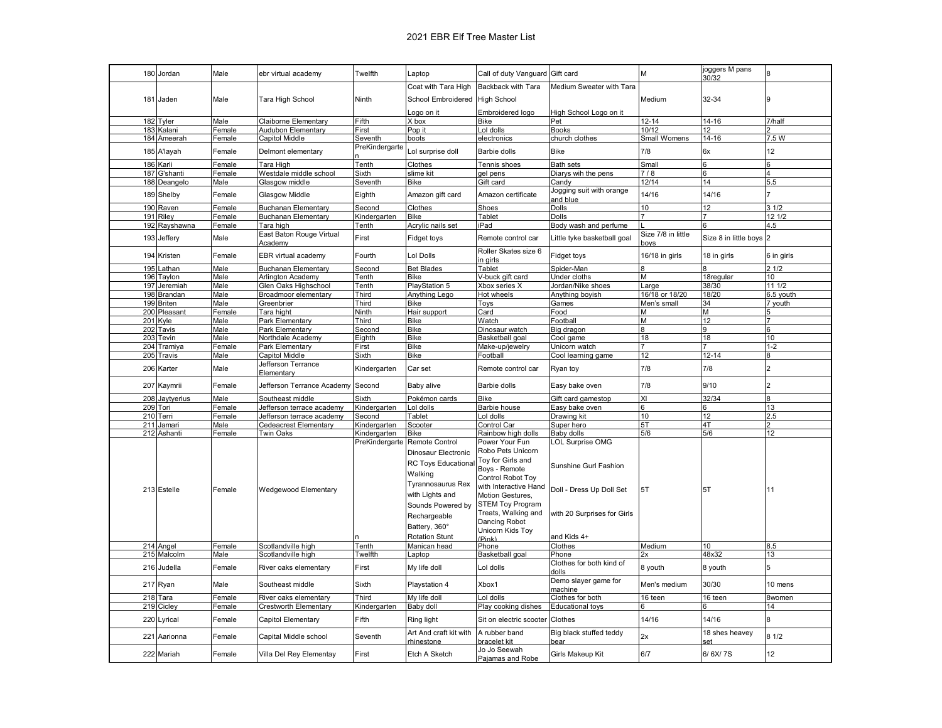| 180              | Jordan                   | Male   | ebr virtual academy                  | Twelfth                               | Laptop                                                                                        | Call of duty Vanguard Gift card                                                                                           |                                                   | M                          | oggers M pans<br>30/32  | 8                |
|------------------|--------------------------|--------|--------------------------------------|---------------------------------------|-----------------------------------------------------------------------------------------------|---------------------------------------------------------------------------------------------------------------------------|---------------------------------------------------|----------------------------|-------------------------|------------------|
|                  |                          |        |                                      |                                       | Coat with Tara High                                                                           | Backback with Tara                                                                                                        | Medium Sweater with Tara                          |                            |                         |                  |
| 181              | Jaden                    | Male   | Tara High School                     | Ninth                                 | School Embroidered                                                                            | <b>High School</b>                                                                                                        |                                                   | Medium                     | 32-34                   | <b>g</b>         |
|                  |                          |        |                                      |                                       | Logo on it                                                                                    | Embroidered logo                                                                                                          | High School Logo on it                            |                            |                         |                  |
|                  | 182 Tyler                | Male   | Claiborne Elementary                 | Fifth                                 | X box                                                                                         | <b>Bike</b>                                                                                                               | Pet                                               | $12 - 14$                  | $14 - 16$               | 7/half           |
|                  | 183 Kalani               | Female | Audubon Elementary                   | First                                 | Pop it                                                                                        | ol dolls                                                                                                                  | <b>Books</b>                                      | 10/12                      | 12                      |                  |
|                  | 184 Ameerah              | Female | Capitol Middle                       | Seventh                               | boots                                                                                         | electronics                                                                                                               | church clothes                                    | Small Womens               | $14 - 16$               | 7.5 W            |
|                  |                          |        |                                      | PreKindergarte                        |                                                                                               |                                                                                                                           |                                                   |                            |                         |                  |
|                  | 185 A'layah              | Female | Delmont elementary                   |                                       | Lol surprise doll                                                                             | Barbie dolls                                                                                                              | <b>Bike</b>                                       | 7/8                        | 6x                      | 12               |
|                  | 186 Karli                | Female | Tara High                            | Tenth                                 | Clothes                                                                                       | Tennis shoes                                                                                                              | <b>Bath sets</b>                                  | Small                      | 6                       | 6                |
|                  | 187 G'shanti             | Female | Westdale middle school               | Sixth                                 | slime kit                                                                                     | gel pens                                                                                                                  | Diarys wih the pens                               | 7/8                        | 6                       | $\overline{4}$   |
|                  | 188 Deangelo             | Male   | Glasgow middle                       | Seventh                               | <b>Bike</b>                                                                                   | Gift card                                                                                                                 | Candy                                             | 12/14                      | 14                      | 5.5              |
| 189              | Shelby                   | Female | Glasgow Middle                       | Eighth                                | Amazon gift card                                                                              | Amazon certificate                                                                                                        | Jogging suit with orange<br>and blue              | 14/16                      | 14/16                   |                  |
|                  | 190 Raven                | Female | <b>Buchanan Elementary</b>           | Second                                | Clothes                                                                                       | Shoes                                                                                                                     | Dolls                                             | 10                         | 12                      | 31/2             |
|                  | 191 Riley                | Female | <b>Buchanan Elementary</b>           | Kindergarten                          | <b>Bike</b>                                                                                   | Tablet                                                                                                                    | <b>Dolls</b>                                      | 7                          | 7                       | 12 1/2           |
|                  | 192 Rayshawna            | Female | Tara high                            | Tenth                                 | Acrylic nails set                                                                             | iPad                                                                                                                      | Body wash and perfume                             |                            | 6                       | 4.5              |
| 193              | Jeffery                  | Male   | East Baton Rouge Virtual<br>Academy  | First                                 | Fidget toys                                                                                   | Remote control car                                                                                                        | Little tyke basketball goal                       | Size 7/8 in little<br>bovs | Size 8 in little boys 2 |                  |
|                  | 194 Kristen              | Female | <b>EBR virtual academy</b>           | Fourth                                | Lol Dolls                                                                                     | Roller Skates size 6<br>in girls                                                                                          | Fidget toys                                       | 16/18 in girls             | 18 in girls             | 6 in girls       |
| 195              | Lathan                   | Male   | <b>Buchanan Elementary</b>           | Second                                | <b>Bet Blades</b>                                                                             | Tablet                                                                                                                    | Spider-Man                                        |                            |                         | 21/2             |
|                  | 196 Taylon               | Male   | Arlington Academy                    | Tenth                                 | <b>Bike</b>                                                                                   | V-buck gift card                                                                                                          | Under cloths                                      | м                          | 18regular               | 10 <sup>10</sup> |
|                  | 197 Jeremiah             | Male   | Glen Oaks Highschool                 | Tenth                                 | PlayStation 5                                                                                 | Xbox series X                                                                                                             | Jordan/Nike shoes                                 | Large                      | 38/30                   | 11 1/2           |
|                  | 198 Brandan              | Male   | Broadmoor elementary                 | Third                                 | Anything Lego                                                                                 | Hot wheels                                                                                                                | Anything boyish                                   | 16/18 or 18/20             | 18/20                   | 6.5 youth        |
|                  | 199 Briten               | Male   | Greenbrier                           | Third                                 | Bike                                                                                          | Toys                                                                                                                      | Games                                             | Men's small                | 34                      | 7 youth          |
|                  | 200 Pleasant             | Female | <b>Tara hight</b>                    | Ninth                                 | Hair support                                                                                  | Card                                                                                                                      | Food                                              | M                          | M                       |                  |
|                  | 201 Kyle                 | Male   | Park Elementary                      | Third                                 | <b>Bike</b>                                                                                   | Watch                                                                                                                     | Footbal                                           | М                          | 12                      |                  |
|                  | 202 Tavis                | Male   | Park Elementary                      | Second                                | <b>Bike</b>                                                                                   | Dinosaur watch                                                                                                            | Big dragon                                        | 8                          | 9                       | 6                |
|                  | 203 Tevin                | Male   | Northdale Academy                    | Eighth                                | <b>Bike</b>                                                                                   | Basketball goal                                                                                                           | Cool game                                         | 18<br>$\overline{ }$       | 18                      | 10               |
|                  | 204 Tramiya              | Female | Park Elementarv                      | First                                 | <b>Bike</b>                                                                                   | Make-up/jewelry                                                                                                           | Unicorn watch                                     |                            |                         | $1 - 2$          |
|                  | 205 Travis               | Male   | Capitol Middle<br>Jefferson Terrance | Sixth                                 | <b>Bike</b>                                                                                   | Football                                                                                                                  | Cool learning game                                | 12                         | $12 - 14$               | 8                |
|                  | 206 Karter               | Male   | Elementarv                           | Kindergarten                          | Car set                                                                                       | Remote control car                                                                                                        | Ryan toy                                          | 7/8                        | 7/8                     | $\overline{2}$   |
| 207              | Kaymrii                  | Female | Jefferson Terrance Academy           | Second                                | Baby alive                                                                                    | <b>Barbie dolls</b>                                                                                                       | Easy bake oven                                    | 7/8                        | 9/10                    | $\overline{2}$   |
| 208              | Jaytyerius               | Male   | Southeast middle                     | Sixth                                 | Pokémon cards                                                                                 | <b>Bike</b>                                                                                                               | Gift card gamestop                                | XI                         | 32/34                   | 8                |
|                  | 209 Tori                 | Female | Jefferson terrace academy            | Kindergarten                          | Lol dolls                                                                                     | Barbie house                                                                                                              | Easy bake oven                                    | 6                          | 6                       | 13               |
| 210 <sub>l</sub> | Terri                    | Female | Jefferson terrace academy            | Second                                | Tablet                                                                                        | Lol dolls                                                                                                                 | Drawing kit                                       | 10                         | 12                      | 2.5<br>2         |
| 211              | Jamari                   | Male   | Cedeacrest Elementary                | Kindergarten                          | Scooter<br><b>Bike</b>                                                                        | Control Car                                                                                                               | Super hero                                        | 5T                         | 4T                      | 12               |
|                  | 212 Ashanti              | Female | Twin Oaks                            | <b>Kindergarten</b><br>PreKindergarte | Remote Control                                                                                | Rainbow high dolls<br>Power Your Fun                                                                                      | Baby dolls<br><b>LOL Surprise OMG</b>             | 5/6                        | 5/6                     |                  |
|                  | 213 Estelle              | Female | Wedgewood Elementary                 |                                       | Dinosaur Electronic<br>RC Toys Educational<br>Walking<br>Tyrannosaurus Rex<br>with Lights and | Robo Pets Unicorn<br>Toy for Girls and<br>Boys - Remote<br>Control Robot Toy<br>with Interactive Hand<br>Motion Gestures. | Sunshine Gurl Fashion<br>Doll - Dress Up Doll Set | 5T                         | 5T                      | 11               |
|                  |                          |        |                                      |                                       | Sounds Powered by<br>Rechargeable<br>Battery, 360°<br><b>Rotation Stunt</b>                   | <b>STEM Toy Program</b><br>Treats, Walking and<br>Dancing Robot<br>Unicorn Kids Toy<br>(Pink)                             | with 20 Surprises for Girls<br>and Kids 4+        |                            |                         |                  |
|                  | 214 Angel<br>215 Malcolm | Female | Scotlandville high                   | Tenth<br>Twelfth                      | Manican head                                                                                  | Phone<br><b>Basketball</b> goal                                                                                           | Clothes                                           | Medium<br>2x               | 10<br>48x32             | 8.5<br>13        |
|                  |                          | Male   | Scotlandville high                   |                                       | Laptop                                                                                        |                                                                                                                           | Phone<br>Clothes for both kind of                 |                            |                         |                  |
| 216              | Judella                  | Female | River oaks elementary                | First                                 | My life doll                                                                                  | Lol dolls                                                                                                                 | dolls                                             | 8 youth                    | 8 youth                 | 5                |
|                  | 217 Ryan                 | Male   | Southeast middle                     | Sixth                                 | Playstation 4                                                                                 | Xbox1                                                                                                                     | Demo slayer game for<br>machine                   | Men's medium               | 30/30                   | 10 mens          |
| 218              | Tara                     | Female | River oaks elementary                | Third                                 | My life doll                                                                                  | ol dolls                                                                                                                  | Clothes for both                                  | 16 teen                    | 16 teen                 | 8women           |
|                  | 219 Cicley               | Female | Crestworth Elementary                | Kindergarten                          | Baby doll                                                                                     | Play cooking dishes                                                                                                       | <b>Educational toys</b>                           |                            |                         | 14               |
| 220              | Lyrical                  | Female | Capitol Elementary                   | Fifth                                 | Ring light                                                                                    | Sit on electric scooter                                                                                                   | Clothes                                           | 14/16                      | 14/16                   | 8                |
| 221              | Aarionna                 | Female | Capital Middle school                | Seventh                               | Art And craft kit with<br>rhinestone                                                          | A rubber band<br>bracelet kit                                                                                             | Big black stuffed teddy<br>bear                   | 2x                         | 18 shes heavey<br>set   | 81/2             |
|                  | 222 Mariah               | Female | Villa Del Rey Elementay              | First                                 | Etch A Sketch                                                                                 | Jo Jo Seewah<br>Pajamas and Robe                                                                                          | Girls Makeup Kit                                  | 6/7                        | 6/6X/7S                 | 12               |